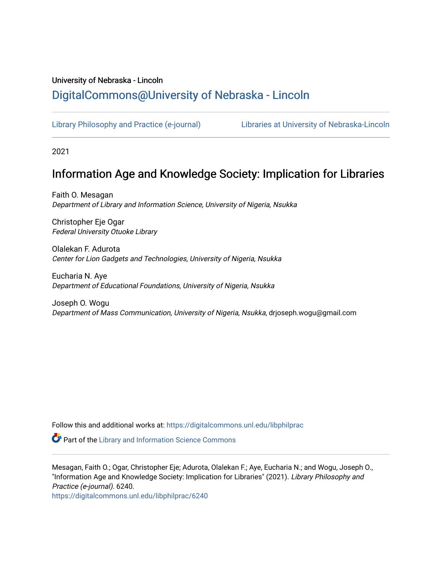## University of Nebraska - Lincoln [DigitalCommons@University of Nebraska - Lincoln](https://digitalcommons.unl.edu/)

[Library Philosophy and Practice \(e-journal\)](https://digitalcommons.unl.edu/libphilprac) [Libraries at University of Nebraska-Lincoln](https://digitalcommons.unl.edu/libraries) 

2021

# Information Age and Knowledge Society: Implication for Libraries

Faith O. Mesagan Department of Library and Information Science, University of Nigeria, Nsukka

Christopher Eje Ogar Federal University Otuoke Library

Olalekan F. Adurota Center for Lion Gadgets and Technologies, University of Nigeria, Nsukka

Eucharia N. Aye Department of Educational Foundations, University of Nigeria, Nsukka

Joseph O. Wogu Department of Mass Communication, University of Nigeria, Nsukka, drjoseph.wogu@gmail.com

Follow this and additional works at: [https://digitalcommons.unl.edu/libphilprac](https://digitalcommons.unl.edu/libphilprac?utm_source=digitalcommons.unl.edu%2Flibphilprac%2F6240&utm_medium=PDF&utm_campaign=PDFCoverPages) 

**Part of the Library and Information Science Commons** 

Mesagan, Faith O.; Ogar, Christopher Eje; Adurota, Olalekan F.; Aye, Eucharia N.; and Wogu, Joseph O., "Information Age and Knowledge Society: Implication for Libraries" (2021). Library Philosophy and Practice (e-journal). 6240.

[https://digitalcommons.unl.edu/libphilprac/6240](https://digitalcommons.unl.edu/libphilprac/6240?utm_source=digitalcommons.unl.edu%2Flibphilprac%2F6240&utm_medium=PDF&utm_campaign=PDFCoverPages)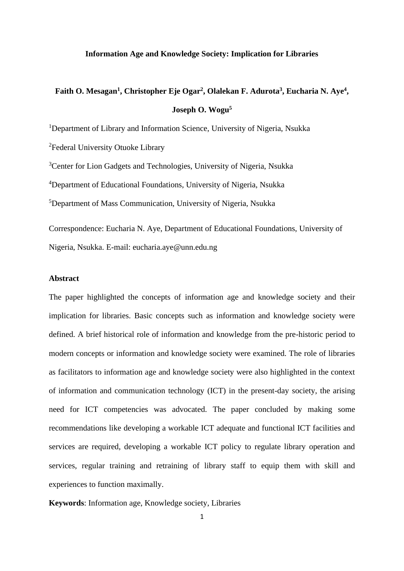#### **Information Age and Knowledge Society: Implication for Libraries**

# **Faith O. Mesagan<sup>1</sup> , Christopher Eje Ogar<sup>2</sup> , Olalekan F. Adurota<sup>3</sup> , Eucharia N. Aye<sup>4</sup> , Joseph O. Wogu<sup>5</sup>**

<sup>1</sup>Department of Library and Information Science, University of Nigeria, Nsukka

<sup>2</sup>Federal University Otuoke Library

<sup>3</sup>Center for Lion Gadgets and Technologies, University of Nigeria, Nsukka <sup>4</sup>Department of Educational Foundations, University of Nigeria, Nsukka <sup>5</sup>Department of Mass Communication, University of Nigeria, Nsukka Correspondence: Eucharia N. Aye, Department of Educational Foundations, University of

Nigeria, Nsukka. E-mail: eucharia.aye@unn.edu.ng

### **Abstract**

The paper highlighted the concepts of information age and knowledge society and their implication for libraries. Basic concepts such as information and knowledge society were defined. A brief historical role of information and knowledge from the pre-historic period to modern concepts or information and knowledge society were examined. The role of libraries as facilitators to information age and knowledge society were also highlighted in the context of information and communication technology (ICT) in the present-day society, the arising need for ICT competencies was advocated. The paper concluded by making some recommendations like developing a workable ICT adequate and functional ICT facilities and services are required, developing a workable ICT policy to regulate library operation and services, regular training and retraining of library staff to equip them with skill and experiences to function maximally.

**Keywords**: Information age, Knowledge society, Libraries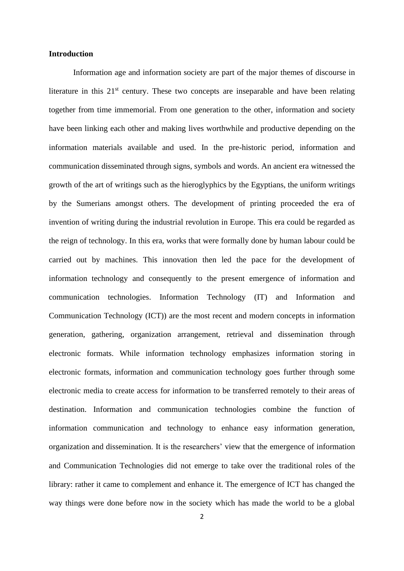#### **Introduction**

Information age and information society are part of the major themes of discourse in literature in this  $21<sup>st</sup>$  century. These two concepts are inseparable and have been relating together from time immemorial. From one generation to the other, information and society have been linking each other and making lives worthwhile and productive depending on the information materials available and used. In the pre-historic period, information and communication disseminated through signs, symbols and words. An ancient era witnessed the growth of the art of writings such as the hieroglyphics by the Egyptians, the uniform writings by the Sumerians amongst others. The development of printing proceeded the era of invention of writing during the industrial revolution in Europe. This era could be regarded as the reign of technology. In this era, works that were formally done by human labour could be carried out by machines. This innovation then led the pace for the development of information technology and consequently to the present emergence of information and communication technologies. Information Technology (IT) and Information and Communication Technology (ICT)) are the most recent and modern concepts in information generation, gathering, organization arrangement, retrieval and dissemination through electronic formats. While information technology emphasizes information storing in electronic formats, information and communication technology goes further through some electronic media to create access for information to be transferred remotely to their areas of destination. Information and communication technologies combine the function of information communication and technology to enhance easy information generation, organization and dissemination. It is the researchers' view that the emergence of information and Communication Technologies did not emerge to take over the traditional roles of the library: rather it came to complement and enhance it. The emergence of ICT has changed the way things were done before now in the society which has made the world to be a global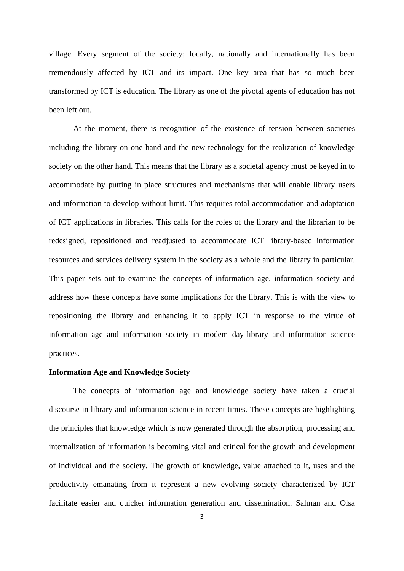village. Every segment of the society; locally, nationally and internationally has been tremendously affected by ICT and its impact. One key area that has so much been transformed by ICT is education. The library as one of the pivotal agents of education has not been left out.

At the moment, there is recognition of the existence of tension between societies including the library on one hand and the new technology for the realization of knowledge society on the other hand. This means that the library as a societal agency must be keyed in to accommodate by putting in place structures and mechanisms that will enable library users and information to develop without limit. This requires total accommodation and adaptation of ICT applications in libraries. This calls for the roles of the library and the librarian to be redesigned, repositioned and readjusted to accommodate ICT library-based information resources and services delivery system in the society as a whole and the library in particular. This paper sets out to examine the concepts of information age, information society and address how these concepts have some implications for the library. This is with the view to repositioning the library and enhancing it to apply ICT in response to the virtue of information age and information society in modem day-library and information science practices.

#### **Information Age and Knowledge Society**

The concepts of information age and knowledge society have taken a crucial discourse in library and information science in recent times. These concepts are highlighting the principles that knowledge which is now generated through the absorption, processing and internalization of information is becoming vital and critical for the growth and development of individual and the society. The growth of knowledge, value attached to it, uses and the productivity emanating from it represent a new evolving society characterized by ICT facilitate easier and quicker information generation and dissemination. Salman and Olsa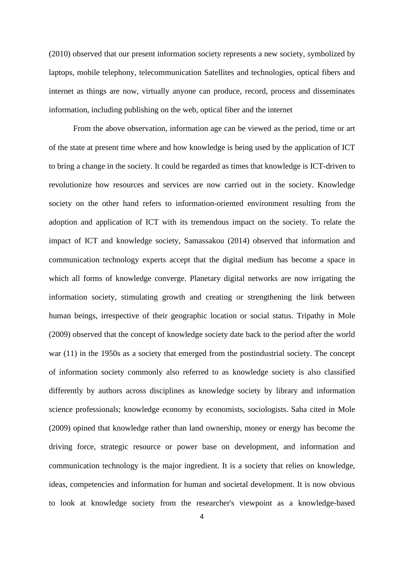(2010) observed that our present information society represents a new society, symbolized by laptops, mobile telephony, telecommunication Satellites and technologies, optical fibers and internet as things are now, virtually anyone can produce, record, process and disseminates information, including publishing on the web, optical fiber and the internet

From the above observation, information age can be viewed as the period, time or art of the state at present time where and how knowledge is being used by the application of ICT to bring a change in the society. It could be regarded as times that knowledge is ICT-driven to revolutionize how resources and services are now carried out in the society. Knowledge society on the other hand refers to information-oriented environment resulting from the adoption and application of ICT with its tremendous impact on the society. To relate the impact of ICT and knowledge society, Samassakou (2014) observed that information and communication technology experts accept that the digital medium has become a space in which all forms of knowledge converge. Planetary digital networks are now irrigating the information society, stimulating growth and creating or strengthening the link between human beings, irrespective of their geographic location or social status. Tripathy in Mole (2009) observed that the concept of knowledge society date back to the period after the world war (11) in the 1950s as a society that emerged from the postindustrial society. The concept of information society commonly also referred to as knowledge society is also classified differently by authors across disciplines as knowledge society by library and information science professionals; knowledge economy by economists, sociologists. Saha cited in Mole (2009) opined that knowledge rather than land ownership, money or energy has become the driving force, strategic resource or power base on development, and information and communication technology is the major ingredient. It is a society that relies on knowledge, ideas, competencies and information for human and societal development. It is now obvious to look at knowledge society from the researcher's viewpoint as a knowledge-based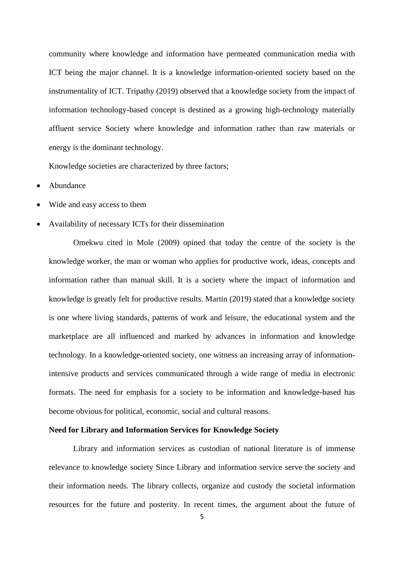community where knowledge and information have permeated communication media with ICT being the major channel. It is a knowledge information-oriented society based on the instrumentality of ICT. Tripathy (2019) observed that a knowledge society from the impact of information technology-based concept is destined as a growing high-technology materially affluent service Society where knowledge and information rather than raw materials or energy is the dominant technology.

Knowledge societies are characterized by three factors;

- Abundance
- Wide and easy access to them
- Availability of necessary ICTs for their dissemination

Omekwu cited in Mole (2009) opined that today the centre of the society is the knowledge worker, the man or woman who applies for productive work, ideas, concepts and information rather than manual skill. It is a society where the impact of information and knowledge is greatly felt for productive results. Martin (2019) stated that a knowledge society is one where living standards, patterns of work and leisure, the educational system and the marketplace are all influenced and marked by advances in information and knowledge technology. In a knowledge-oriented society, one witness an increasing array of informationintensive products and services communicated through a wide range of media in electronic formats. The need for emphasis for a society to be information and knowledge-based has become obvious for political, economic, social and cultural reasons.

#### **Need for Library and Information Services for Knowledge Society**

Library and information services as custodian of national literature is of immense relevance to knowledge society Since Library and information service serve the society and their information needs. The library collects, organize and custody the societal information resources for the future and posterity. In recent times, the argument about the future of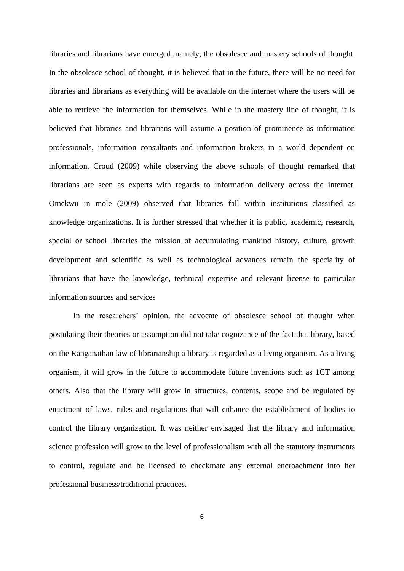libraries and librarians have emerged, namely, the obsolesce and mastery schools of thought. In the obsolesce school of thought, it is believed that in the future, there will be no need for libraries and librarians as everything will be available on the internet where the users will be able to retrieve the information for themselves. While in the mastery line of thought, it is believed that libraries and librarians will assume a position of prominence as information professionals, information consultants and information brokers in a world dependent on information. Croud (2009) while observing the above schools of thought remarked that librarians are seen as experts with regards to information delivery across the internet. Omekwu in mole (2009) observed that libraries fall within institutions classified as knowledge organizations. It is further stressed that whether it is public, academic, research, special or school libraries the mission of accumulating mankind history, culture, growth development and scientific as well as technological advances remain the speciality of librarians that have the knowledge, technical expertise and relevant license to particular information sources and services

In the researchers' opinion, the advocate of obsolesce school of thought when postulating their theories or assumption did not take cognizance of the fact that library, based on the Ranganathan law of librarianship a library is regarded as a living organism. As a living organism, it will grow in the future to accommodate future inventions such as 1CT among others. Also that the library will grow in structures, contents, scope and be regulated by enactment of laws, rules and regulations that will enhance the establishment of bodies to control the library organization. It was neither envisaged that the library and information science profession will grow to the level of professionalism with all the statutory instruments to control, regulate and be licensed to checkmate any external encroachment into her professional business/traditional practices.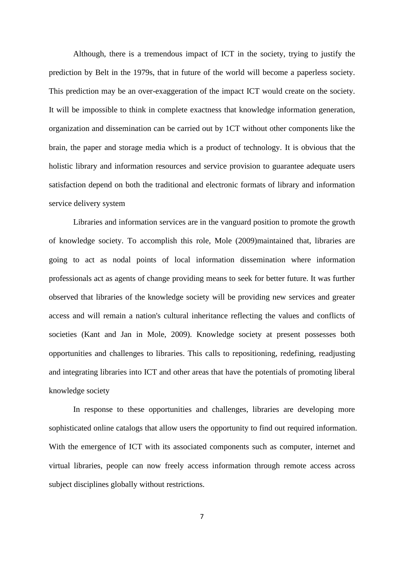Although, there is a tremendous impact of ICT in the society, trying to justify the prediction by Belt in the 1979s, that in future of the world will become a paperless society. This prediction may be an over-exaggeration of the impact ICT would create on the society. It will be impossible to think in complete exactness that knowledge information generation, organization and dissemination can be carried out by 1CT without other components like the brain, the paper and storage media which is a product of technology. It is obvious that the holistic library and information resources and service provision to guarantee adequate users satisfaction depend on both the traditional and electronic formats of library and information service delivery system

Libraries and information services are in the vanguard position to promote the growth of knowledge society. To accomplish this role, Mole (2009)maintained that, libraries are going to act as nodal points of local information dissemination where information professionals act as agents of change providing means to seek for better future. It was further observed that libraries of the knowledge society will be providing new services and greater access and will remain a nation's cultural inheritance reflecting the values and conflicts of societies (Kant and Jan in Mole, 2009). Knowledge society at present possesses both opportunities and challenges to libraries. This calls to repositioning, redefining, readjusting and integrating libraries into ICT and other areas that have the potentials of promoting liberal knowledge society

In response to these opportunities and challenges, libraries are developing more sophisticated online catalogs that allow users the opportunity to find out required information. With the emergence of ICT with its associated components such as computer, internet and virtual libraries, people can now freely access information through remote access across subject disciplines globally without restrictions.

7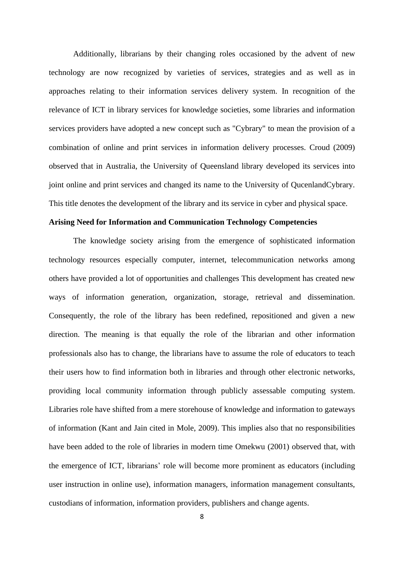Additionally, librarians by their changing roles occasioned by the advent of new technology are now recognized by varieties of services, strategies and as well as in approaches relating to their information services delivery system. In recognition of the relevance of ICT in library services for knowledge societies, some libraries and information services providers have adopted a new concept such as "Cybrary" to mean the provision of a combination of online and print services in information delivery processes. Croud (2009) observed that in Australia, the University of Queensland library developed its services into joint online and print services and changed its name to the University of QucenlandCybrary. This title denotes the development of the library and its service in cyber and physical space.

#### **Arising Need for Information and Communication Technology Competencies**

The knowledge society arising from the emergence of sophisticated information technology resources especially computer, internet, telecommunication networks among others have provided a lot of opportunities and challenges This development has created new ways of information generation, organization, storage, retrieval and dissemination. Consequently, the role of the library has been redefined, repositioned and given a new direction. The meaning is that equally the role of the librarian and other information professionals also has to change, the librarians have to assume the role of educators to teach their users how to find information both in libraries and through other electronic networks, providing local community information through publicly assessable computing system. Libraries role have shifted from a mere storehouse of knowledge and information to gateways of information (Kant and Jain cited in Mole, 2009). This implies also that no responsibilities have been added to the role of libraries in modern time Omekwu (2001) observed that, with the emergence of ICT, librarians' role will become more prominent as educators (including user instruction in online use), information managers, information management consultants, custodians of information, information providers, publishers and change agents.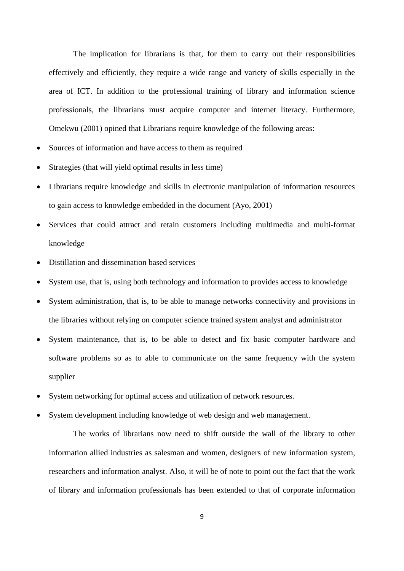The implication for librarians is that, for them to carry out their responsibilities effectively and efficiently, they require a wide range and variety of skills especially in the area of ICT. In addition to the professional training of library and information science professionals, the librarians must acquire computer and internet literacy. Furthermore, Omekwu (2001) opined that Librarians require knowledge of the following areas:

- Sources of information and have access to them as required
- Strategies (that will yield optimal results in less time)
- Librarians require knowledge and skills in electronic manipulation of information resources to gain access to knowledge embedded in the document (Ayo, 2001)
- Services that could attract and retain customers including multimedia and multi-format knowledge
- Distillation and dissemination based services
- System use, that is, using both technology and information to provides access to knowledge
- System administration, that is, to be able to manage networks connectivity and provisions in the libraries without relying on computer science trained system analyst and administrator
- System maintenance, that is, to be able to detect and fix basic computer hardware and software problems so as to able to communicate on the same frequency with the system supplier
- System networking for optimal access and utilization of network resources.
- System development including knowledge of web design and web management.

The works of librarians now need to shift outside the wall of the library to other information allied industries as salesman and women, designers of new information system, researchers and information analyst. Also, it will be of note to point out the fact that the work of library and information professionals has been extended to that of corporate information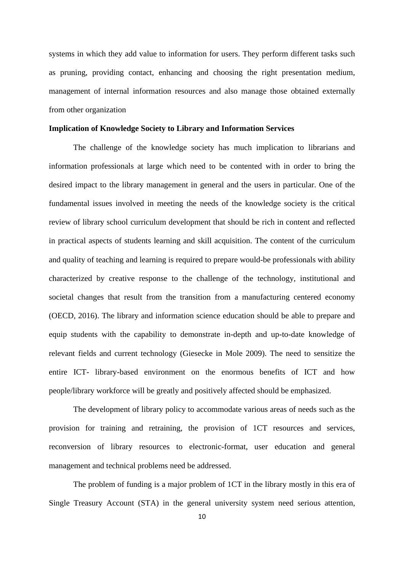systems in which they add value to information for users. They perform different tasks such as pruning, providing contact, enhancing and choosing the right presentation medium, management of internal information resources and also manage those obtained externally from other organization

#### **Implication of Knowledge Society to Library and Information Services**

The challenge of the knowledge society has much implication to librarians and information professionals at large which need to be contented with in order to bring the desired impact to the library management in general and the users in particular. One of the fundamental issues involved in meeting the needs of the knowledge society is the critical review of library school curriculum development that should be rich in content and reflected in practical aspects of students learning and skill acquisition. The content of the curriculum and quality of teaching and learning is required to prepare would-be professionals with ability characterized by creative response to the challenge of the technology, institutional and societal changes that result from the transition from a manufacturing centered economy (OECD, 2016). The library and information science education should be able to prepare and equip students with the capability to demonstrate in-depth and up-to-date knowledge of relevant fields and current technology (Giesecke in Mole 2009). The need to sensitize the entire ICT- library-based environment on the enormous benefits of ICT and how people/library workforce will be greatly and positively affected should be emphasized.

The development of library policy to accommodate various areas of needs such as the provision for training and retraining, the provision of 1CT resources and services, reconversion of library resources to electronic-format, user education and general management and technical problems need be addressed.

The problem of funding is a major problem of 1CT in the library mostly in this era of Single Treasury Account (STA) in the general university system need serious attention,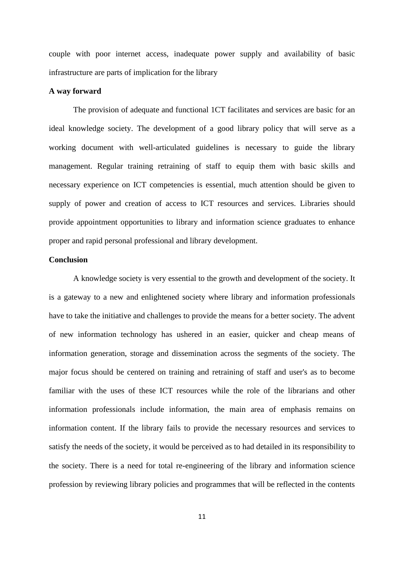couple with poor internet access, inadequate power supply and availability of basic infrastructure are parts of implication for the library

#### **A way forward**

The provision of adequate and functional 1CT facilitates and services are basic for an ideal knowledge society. The development of a good library policy that will serve as a working document with well-articulated guidelines is necessary to guide the library management. Regular training retraining of staff to equip them with basic skills and necessary experience on ICT competencies is essential, much attention should be given to supply of power and creation of access to ICT resources and services. Libraries should provide appointment opportunities to library and information science graduates to enhance proper and rapid personal professional and library development.

### **Conclusion**

A knowledge society is very essential to the growth and development of the society. It is a gateway to a new and enlightened society where library and information professionals have to take the initiative and challenges to provide the means for a better society. The advent of new information technology has ushered in an easier, quicker and cheap means of information generation, storage and dissemination across the segments of the society. The major focus should be centered on training and retraining of staff and user's as to become familiar with the uses of these ICT resources while the role of the librarians and other information professionals include information, the main area of emphasis remains on information content. If the library fails to provide the necessary resources and services to satisfy the needs of the society, it would be perceived as to had detailed in its responsibility to the society. There is a need for total re-engineering of the library and information science profession by reviewing library policies and programmes that will be reflected in the contents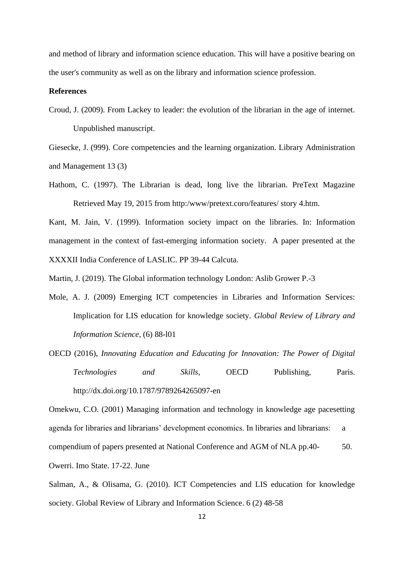and method of library and information science education. This will have a positive bearing on the user's community as well as on the library and information science profession.

#### **References**

Croud, J. (2009). From Lackey to leader: the evolution of the librarian in the age of internet. Unpublished manuscript.

Giesecke, J. (999). Core competencies and the learning organization. Library Administration and Management 13 (3)

Hathom, C. (1997). The Librarian is dead, long live the librarian. PreText Magazine Retrieved May 19, 2015 from http:/www/pretext.coro/features/ story 4.htm.

Kant, M. Jain, V. (1999). Information society impact on the libraries. In: Information management in the context of fast-emerging information society. A paper presented at the XXXXII India Conference of LASLIC. PP 39-44 Calcuta.

Martin, J. (2019). The Global information technology London: Aslib Grower P.-3

Mole, A. J. (2009) Emerging ICT competencies in Libraries and Information Services: Implication for LIS education for knowledge society. *Global Review of Library and Information Science,* (6) 88-l01

OECD (2016), *Innovating Education and Educating for Innovation: The Power of Digital Technologies and Skills*, OECD Publishing, Paris. <http://dx.doi.org/10.1787/9789264265097-en>

Omekwu, C.O. (2001) Managing information and technology in knowledge age pacesetting agenda for libraries and librarians' development economics. In libraries and librarians: a compendium of papers presented at National Conference and AGM of NLA pp.40- 50. Owerri. Imo State. 17-22. June

Salman, A., & Olisama, G. (2010). ICT Competencies and LIS education for knowledge society. Global Review of Library and Information Science. 6 (2) 48-58